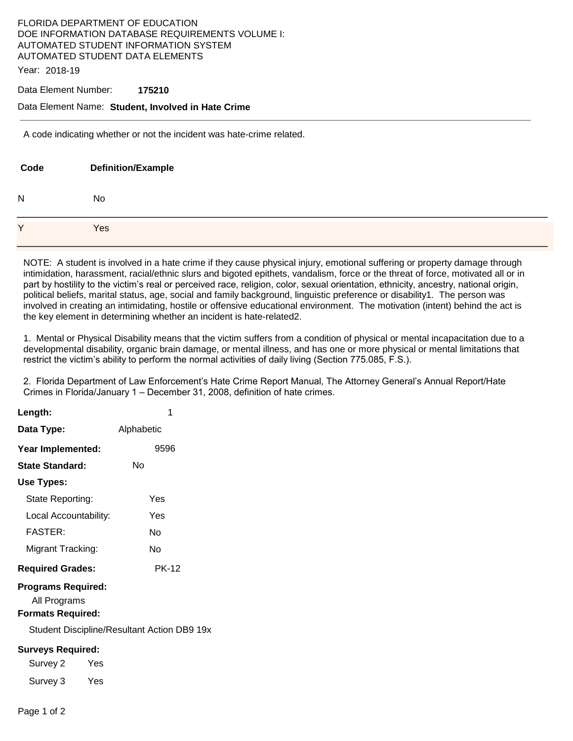# FLORIDA DEPARTMENT OF EDUCATION DOE INFORMATION DATABASE REQUIREMENTS VOLUME I: AUTOMATED STUDENT INFORMATION SYSTEM AUTOMATED STUDENT DATA ELEMENTS

Year: 2018-19

#### Data Element Number: **175210**

### Data Element Name: **Student, Involved in Hate Crime**

A code indicating whether or not the incident was hate-crime related.

| Code         | <b>Definition/Example</b> |
|--------------|---------------------------|
| N            | No                        |
| $\checkmark$ | Yes                       |

NOTE: A student is involved in a hate crime if they cause physical injury, emotional suffering or property damage through intimidation, harassment, racial/ethnic slurs and bigoted epithets, vandalism, force or the threat of force, motivated all or in part by hostility to the victim's real or perceived race, religion, color, sexual orientation, ethnicity, ancestry, national origin, political beliefs, marital status, age, social and family background, linguistic preference or disability1. The person was involved in creating an intimidating, hostile or offensive educational environment. The motivation (intent) behind the act is the key element in determining whether an incident is hate-related2.

1. Mental or Physical Disability means that the victim suffers from a condition of physical or mental incapacitation due to a developmental disability, organic brain damage, or mental illness, and has one or more physical or mental limitations that restrict the victim's ability to perform the normal activities of daily living (Section 775.085, F.S.).

2. Florida Department of Law Enforcement's Hate Crime Report Manual, The Attorney General's Annual Report/Hate Crimes in Florida/January 1 – December 31, 2008, definition of hate crimes.

| Length:                                                                                                              | 1            |  |  |
|----------------------------------------------------------------------------------------------------------------------|--------------|--|--|
| Data Type:                                                                                                           | Alphabetic   |  |  |
| Year Implemented:                                                                                                    | 9596         |  |  |
| State Standard:                                                                                                      | Nο           |  |  |
| Use Types:                                                                                                           |              |  |  |
| State Reporting:                                                                                                     | Yes          |  |  |
| Local Accountability:                                                                                                | Yes          |  |  |
| <b>FASTER:</b>                                                                                                       | N٥           |  |  |
| Migrant Tracking:                                                                                                    | No           |  |  |
| <b>Required Grades:</b>                                                                                              | <b>PK-12</b> |  |  |
| <b>Programs Required:</b><br>All Programs<br><b>Formats Required:</b><br>Student Discipline/Resultant Action DB9 19x |              |  |  |
| <b>Surveys Required:</b>                                                                                             |              |  |  |
| Survey 2<br>Yes                                                                                                      |              |  |  |
| Survey 3 Yes                                                                                                         |              |  |  |